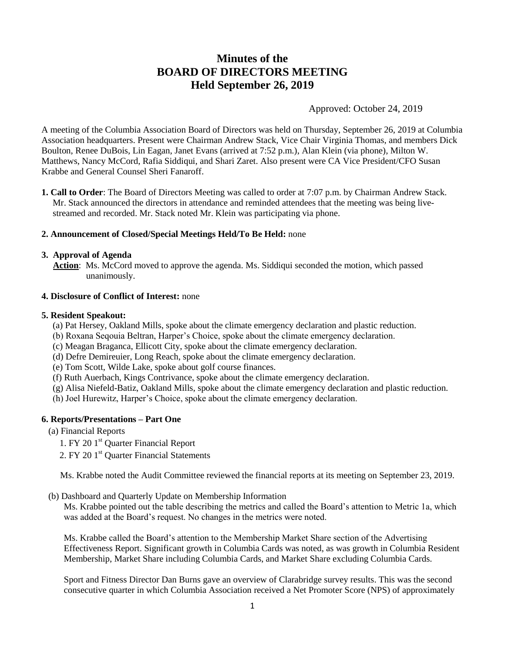# **Minutes of the BOARD OF DIRECTORS MEETING Held September 26, 2019**

Approved: October 24, 2019

A meeting of the Columbia Association Board of Directors was held on Thursday, September 26, 2019 at Columbia Association headquarters. Present were Chairman Andrew Stack, Vice Chair Virginia Thomas, and members Dick Boulton, Renee DuBois, Lin Eagan, Janet Evans (arrived at 7:52 p.m.), Alan Klein (via phone), Milton W. Matthews, Nancy McCord, Rafia Siddiqui, and Shari Zaret. Also present were CA Vice President/CFO Susan Krabbe and General Counsel Sheri Fanaroff.

**1. Call to Order**: The Board of Directors Meeting was called to order at 7:07 p.m. by Chairman Andrew Stack. Mr. Stack announced the directors in attendance and reminded attendees that the meeting was being livestreamed and recorded. Mr. Stack noted Mr. Klein was participating via phone.

# **2. Announcement of Closed/Special Meetings Held/To Be Held:** none

#### **3. Approval of Agenda**

 **Action**: Ms. McCord moved to approve the agenda. Ms. Siddiqui seconded the motion, which passed unanimously.

#### **4. Disclosure of Conflict of Interest:** none

#### **5. Resident Speakout:**

- (a) Pat Hersey, Oakland Mills, spoke about the climate emergency declaration and plastic reduction.
- (b) Roxana Seqouia Beltran, Harper's Choice, spoke about the climate emergency declaration.
- (c) Meagan Braganca, Ellicott City, spoke about the climate emergency declaration.
- (d) Defre Demireuier, Long Reach, spoke about the climate emergency declaration.
- (e) Tom Scott, Wilde Lake, spoke about golf course finances.
- (f) Ruth Auerbach, Kings Contrivance, spoke about the climate emergency declaration.
- (g) Alisa Niefeld-Batiz, Oakland Mills, spoke about the climate emergency declaration and plastic reduction.
- (h) Joel Hurewitz, Harper's Choice, spoke about the climate emergency declaration.

# **6. Reports/Presentations – Part One**

# (a) Financial Reports

- 1. FY 20 1<sup>st</sup> Quarter Financial Report
- 2. FY 20 1<sup>st</sup> Quarter Financial Statements

Ms. Krabbe noted the Audit Committee reviewed the financial reports at its meeting on September 23, 2019.

(b) Dashboard and Quarterly Update on Membership Information

Ms. Krabbe pointed out the table describing the metrics and called the Board's attention to Metric 1a, which was added at the Board's request. No changes in the metrics were noted.

Ms. Krabbe called the Board's attention to the Membership Market Share section of the Advertising Effectiveness Report. Significant growth in Columbia Cards was noted, as was growth in Columbia Resident Membership, Market Share including Columbia Cards, and Market Share excluding Columbia Cards.

Sport and Fitness Director Dan Burns gave an overview of Clarabridge survey results. This was the second consecutive quarter in which Columbia Association received a Net Promoter Score (NPS) of approximately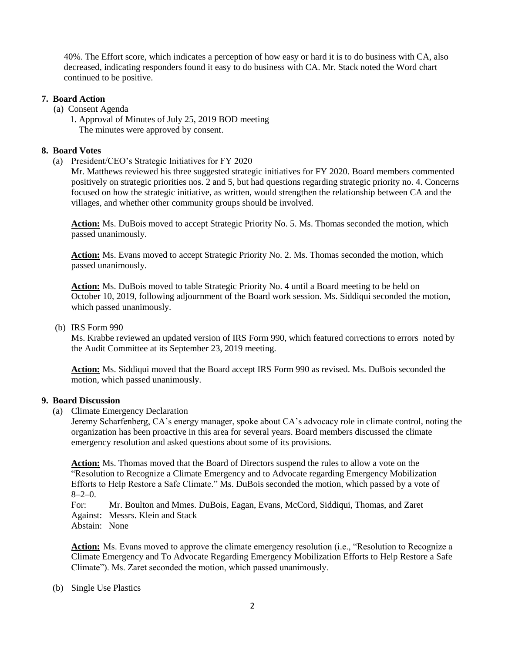40%. The Effort score, which indicates a perception of how easy or hard it is to do business with CA, also decreased, indicating responders found it easy to do business with CA. Mr. Stack noted the Word chart continued to be positive.

# **7. Board Action**

- (a) Consent Agenda
	- 1. Approval of Minutes of July 25, 2019 BOD meeting The minutes were approved by consent.

#### **8. Board Votes**

(a) President/CEO's Strategic Initiatives for FY 2020

Mr. Matthews reviewed his three suggested strategic initiatives for FY 2020. Board members commented positively on strategic priorities nos. 2 and 5, but had questions regarding strategic priority no. 4. Concerns focused on how the strategic initiative, as written, would strengthen the relationship between CA and the villages, and whether other community groups should be involved.

**Action:** Ms. DuBois moved to accept Strategic Priority No. 5. Ms. Thomas seconded the motion, which passed unanimously.

**Action:** Ms. Evans moved to accept Strategic Priority No. 2. Ms. Thomas seconded the motion, which passed unanimously.

**Action:** Ms. DuBois moved to table Strategic Priority No. 4 until a Board meeting to be held on October 10, 2019, following adjournment of the Board work session. Ms. Siddiqui seconded the motion, which passed unanimously.

(b) IRS Form 990

Ms. Krabbe reviewed an updated version of IRS Form 990, which featured corrections to errors noted by the Audit Committee at its September 23, 2019 meeting.

Action: Ms. Siddiqui moved that the Board accept IRS Form 990 as revised. Ms. DuBois seconded the motion, which passed unanimously.

#### **9. Board Discussion**

(a) Climate Emergency Declaration

Jeremy Scharfenberg, CA's energy manager, spoke about CA's advocacy role in climate control, noting the organization has been proactive in this area for several years. Board members discussed the climate emergency resolution and asked questions about some of its provisions.

**Action:** Ms. Thomas moved that the Board of Directors suspend the rules to allow a vote on the "Resolution to Recognize a Climate Emergency and to Advocate regarding Emergency Mobilization Efforts to Help Restore a Safe Climate." Ms. DuBois seconded the motion, which passed by a vote of  $8 - 2 - 0.$ 

For: Mr. Boulton and Mmes. DuBois, Eagan, Evans, McCord, Siddiqui, Thomas, and Zaret Against: Messrs. Klein and Stack Abstain: None

**Action:** Ms. Evans moved to approve the climate emergency resolution (i.e., "Resolution to Recognize a Climate Emergency and To Advocate Regarding Emergency Mobilization Efforts to Help Restore a Safe Climate"). Ms. Zaret seconded the motion, which passed unanimously.

(b) Single Use Plastics